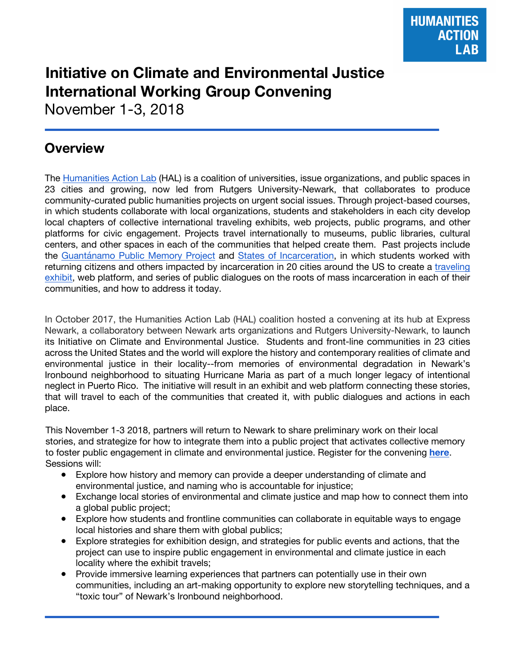# **Initiative on Climate and Environmental Justice International Working Group Convening**

November 1-3, 2018

## **Overview**

The Humanities Action Lab (HAL) is a coalition of universities, issue organizations, and public spaces in 23 cities and growing, now led from Rutgers University-Newark, that collaborates to produce community-curated public humanities projects on urgent social issues. Through project-based courses, in which students collaborate with local organizations, students and stakeholders in each city develop local chapters of collective international traveling exhibits, web projects, public programs, and other platforms for civic engagement. Projects travel internationally to museums, public libraries, cultural centers, and other spaces in each of the communities that helped create them. Past projects include the Guantánamo Public Memory Project and States of Incarceration, in which students worked with returning citizens and others impacted by incarceration in 20 cities around the US to create a traveling exhibit, web platform, and series of public dialogues on the roots of mass incarceration in each of their communities, and how to address it today.

In October 2017, the Humanities Action Lab (HAL) coalition hosted a convening at its hub at Express Newark, a collaboratory between Newark arts organizations and Rutgers University-Newark, to launch its Initiative on Climate and Environmental Justice. Students and front-line communities in 23 cities across the United States and the world will explore the history and contemporary realities of climate and environmental justice in their locality--from memories of environmental degradation in Newark's Ironbound neighborhood to situating Hurricane Maria as part of a much longer legacy of intentional neglect in Puerto Rico. The initiative will result in an exhibit and web platform connecting these stories, that will travel to each of the communities that created it, with public dialogues and actions in each place.

This November 1-3 2018, partners will return to Newark to share preliminary work on their local stories, and strategize for how to integrate them into a public project that activates collective memory to foster public engagement in climate and environmental justice. Register for the convening **here**. Sessions will:

- Explore how history and memory can provide a deeper understanding of climate and environmental justice, and naming who is accountable for injustice;
- Exchange local stories of environmental and climate justice and map how to connect them into a global public project;
- Explore how students and frontline communities can collaborate in equitable ways to engage local histories and share them with global publics;
- Explore strategies for exhibition design, and strategies for public events and actions, that the project can use to inspire public engagement in environmental and climate justice in each locality where the exhibit travels;
- Provide immersive learning experiences that partners can potentially use in their own communities, including an art-making opportunity to explore new storytelling techniques, and a "toxic tour" of Newark's Ironbound neighborhood.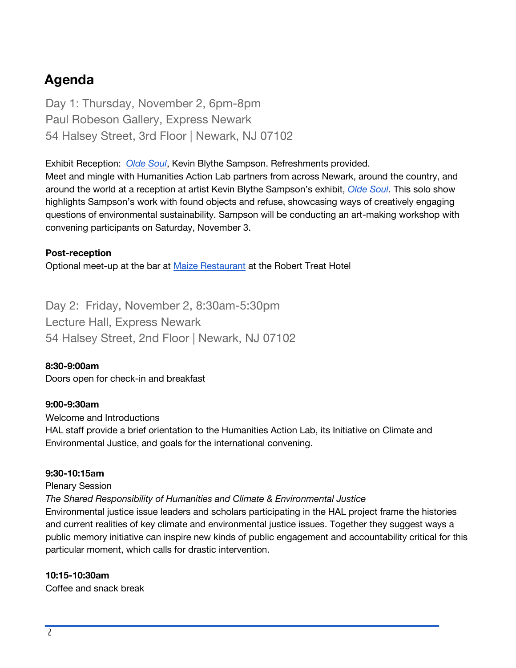## **Agenda**

Day 1: Thursday, November 2, 6pm-8pm Paul Robeson Gallery, Express Newark 54 Halsey Street, 3rd Floor | Newark, NJ 07102

Exhibit Reception: *Olde Soul*, Kevin Blythe Sampson. Refreshments provided.

Meet and mingle with Humanities Action Lab partners from across Newark, around the country, and around the world at a reception at artist Kevin Blythe Sampson's exhibit, *Olde Soul*. This solo show highlights Sampson's work with found objects and refuse, showcasing ways of creatively engaging questions of environmental sustainability. Sampson will be conducting an art-making workshop with convening participants on Saturday, November 3.

#### **Post-reception**

Optional meet-up at the bar at Maize Restaurant at the Robert Treat Hotel

Day 2: Friday, November 2, 8:30am-5:30pm Lecture Hall, Express Newark 54 Halsey Street, 2nd Floor | Newark, NJ 07102

#### **8:30-9:00am**

Doors open for check-in and breakfast

#### **9:00-9:30am**

Welcome and Introductions HAL staff provide a brief orientation to the Humanities Action Lab, its Initiative on Climate and Environmental Justice, and goals for the international convening.

#### **9:30-10:15am**

#### Plenary Session

*The Shared Responsibility of Humanities and Climate & Environmental Justice*

Environmental justice issue leaders and scholars participating in the HAL project frame the histories and current realities of key climate and environmental justice issues. Together they suggest ways a public memory initiative can inspire new kinds of public engagement and accountability critical for this particular moment, which calls for drastic intervention.

#### **10:15-10:30am**

Coffee and snack break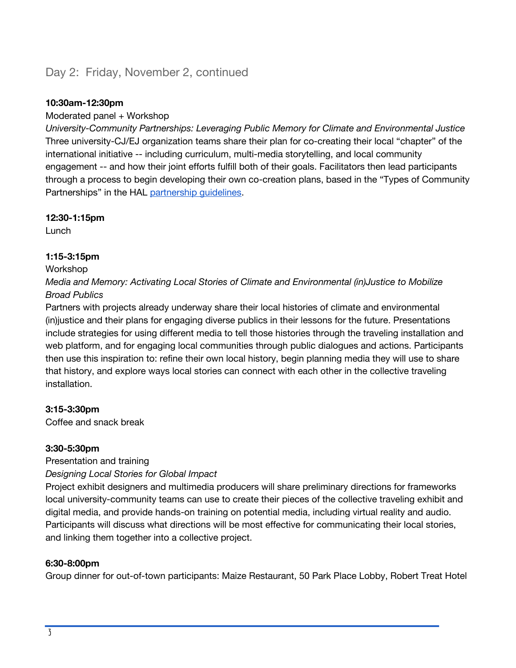## Day 2: Friday, November 2, continued

#### **10:30am-12:30pm**

#### Moderated panel + Workshop

*University-Community Partnerships: Leveraging Public Memory for Climate and Environmental Justice*  Three university-CJ/EJ organization teams share their plan for co-creating their local "chapter" of the international initiative -- including curriculum, multi-media storytelling, and local community engagement -- and how their joint efforts fulfill both of their goals. Facilitators then lead participants through a process to begin developing their own co-creation plans, based in the "Types of Community Partnerships" in the HAL partnership guidelines.

#### **12:30-1:15pm**

Lunch

#### **1:15-3:15pm**

#### Workshop

*Media and Memory: Activating Local Stories of Climate and Environmental (in)Justice to Mobilize Broad Publics*

Partners with projects already underway share their local histories of climate and environmental (in)justice and their plans for engaging diverse publics in their lessons for the future. Presentations include strategies for using different media to tell those histories through the traveling installation and web platform, and for engaging local communities through public dialogues and actions. Participants then use this inspiration to: refine their own local history, begin planning media they will use to share that history, and explore ways local stories can connect with each other in the collective traveling installation.

#### **3:15-3:30pm**

Coffee and snack break

#### **3:30-5:30pm**

Presentation and training

#### *Designing Local Stories for Global Impact*

Project exhibit designers and multimedia producers will share preliminary directions for frameworks local university-community teams can use to create their pieces of the collective traveling exhibit and digital media, and provide hands-on training on potential media, including virtual reality and audio. Participants will discuss what directions will be most effective for communicating their local stories, and linking them together into a collective project.

#### **6:30-8:00pm**

Group dinner for out-of-town participants: Maize Restaurant, 50 Park Place Lobby, Robert Treat Hotel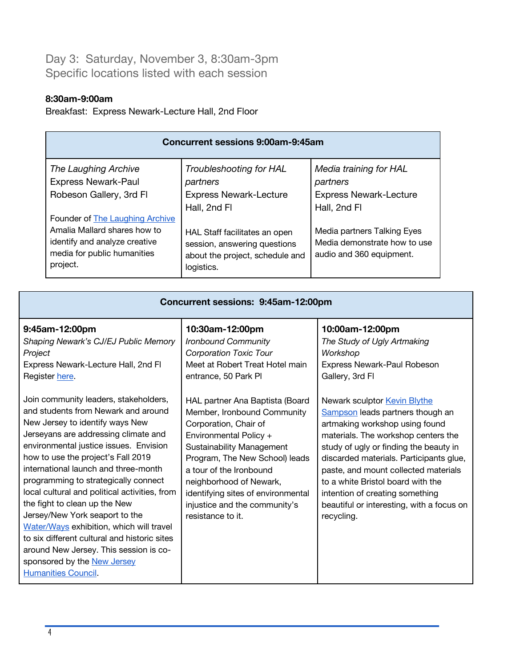Day 3: Saturday, November 3, 8:30am-3pm Specific locations listed with each session

#### **8:30am-9:00am**

Breakfast: Express Newark-Lecture Hall, 2nd Floor

| <b>Concurrent sessions 9:00am-9:45am</b>                                                                                                           |                                                                                                                |                                                                                         |  |
|----------------------------------------------------------------------------------------------------------------------------------------------------|----------------------------------------------------------------------------------------------------------------|-----------------------------------------------------------------------------------------|--|
| The Laughing Archive<br><b>Express Newark-Paul</b><br>Robeson Gallery, 3rd Fl                                                                      | Troubleshooting for HAL<br>partners<br><b>Express Newark-Lecture</b><br>Hall, 2nd Fl                           | Media training for HAL<br>partners<br><b>Express Newark-Lecture</b><br>Hall, 2nd Fl     |  |
| Founder of <b>The Laughing Archive</b><br>Amalia Mallard shares how to<br>identify and analyze creative<br>media for public humanities<br>project. | HAL Staff facilitates an open<br>session, answering questions<br>about the project, schedule and<br>logistics. | Media partners Talking Eyes<br>Media demonstrate how to use<br>audio and 360 equipment. |  |

| Concurrent sessions: 9:45am-12:00pm                                                                                                                                                                                                                                                                                                                                                                                                                                                                                                                                                                                                            |                                                                                                                                                                                                                                                                                                                                           |                                                                                                                                                                                                                                                                                                                                                                                                           |  |
|------------------------------------------------------------------------------------------------------------------------------------------------------------------------------------------------------------------------------------------------------------------------------------------------------------------------------------------------------------------------------------------------------------------------------------------------------------------------------------------------------------------------------------------------------------------------------------------------------------------------------------------------|-------------------------------------------------------------------------------------------------------------------------------------------------------------------------------------------------------------------------------------------------------------------------------------------------------------------------------------------|-----------------------------------------------------------------------------------------------------------------------------------------------------------------------------------------------------------------------------------------------------------------------------------------------------------------------------------------------------------------------------------------------------------|--|
| 9:45am-12:00pm<br>Shaping Newark's CJ/EJ Public Memory<br>Project<br>Express Newark-Lecture Hall, 2nd FI<br>Register here.                                                                                                                                                                                                                                                                                                                                                                                                                                                                                                                     | 10:30am-12:00pm<br>Ironbound Community<br><b>Corporation Toxic Tour</b><br>Meet at Robert Treat Hotel main<br>entrance, 50 Park Pl                                                                                                                                                                                                        | 10:00am-12:00pm<br>The Study of Ugly Artmaking<br>Workshop<br>Express Newark-Paul Robeson<br>Gallery, 3rd Fl                                                                                                                                                                                                                                                                                              |  |
| Join community leaders, stakeholders,<br>and students from Newark and around<br>New Jersey to identify ways New<br>Jerseyans are addressing climate and<br>environmental justice issues. Envision<br>how to use the project's Fall 2019<br>international launch and three-month<br>programming to strategically connect<br>local cultural and political activities, from<br>the fight to clean up the New<br>Jersey/New York seaport to the<br>Water/Ways exhibition, which will travel<br>to six different cultural and historic sites<br>around New Jersey. This session is co-<br>sponsored by the New Jersey<br><b>Humanities Council.</b> | HAL partner Ana Baptista (Board<br>Member, Ironbound Community<br>Corporation, Chair of<br>Environmental Policy +<br><b>Sustainability Management</b><br>Program, The New School) leads<br>a tour of the Ironbound<br>neighborhood of Newark,<br>identifying sites of environmental<br>injustice and the community's<br>resistance to it. | Newark sculptor Kevin Blythe<br>Sampson leads partners though an<br>artmaking workshop using found<br>materials. The workshop centers the<br>study of ugly or finding the beauty in<br>discarded materials. Participants glue,<br>paste, and mount collected materials<br>to a white Bristol board with the<br>intention of creating something<br>beautiful or interesting, with a focus on<br>recycling. |  |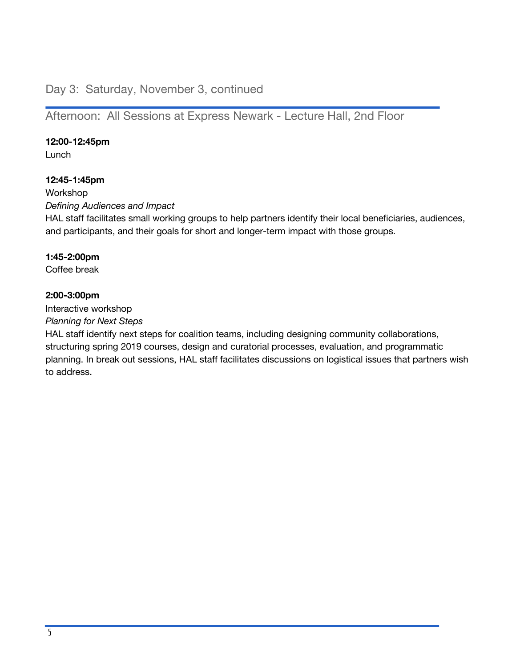### Day 3: Saturday, November 3, continued

Afternoon: All Sessions at Express Newark - Lecture Hall, 2nd Floor

#### **12:00-12:45pm**

Lunch

#### **12:45-1:45pm**

Workshop *Defining Audiences and Impact*  HAL staff facilitates small working groups to help partners identify their local beneficiaries, audiences, and participants, and their goals for short and longer-term impact with those groups.

#### **1:45-2:00pm**

Coffee break

#### **2:00-3:00pm**

Interactive workshop

*Planning for Next Steps* 

HAL staff identify next steps for coalition teams, including designing community collaborations, structuring spring 2019 courses, design and curatorial processes, evaluation, and programmatic planning. In break out sessions, HAL staff facilitates discussions on logistical issues that partners wish to address.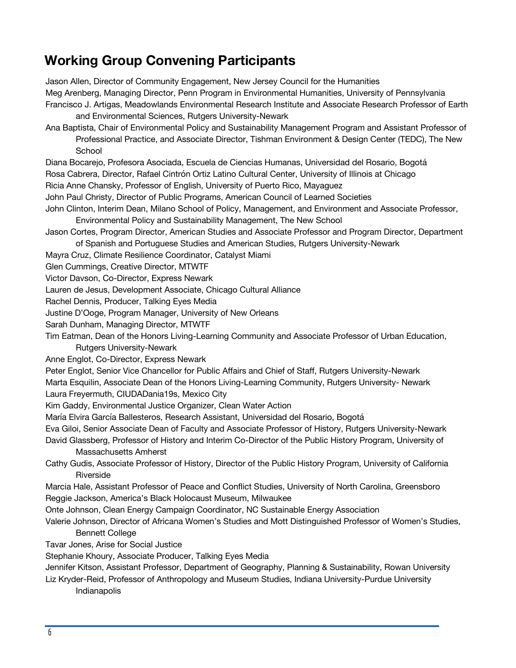## **Working Group Convening Participants**

Jason Allen, Director of Community Engagement, New Jersey Council for the Humanities Meg Arenberg, Managing Director, Penn Program in Environmental Humanities, University of Pennsylvania Francisco J. Artigas, Meadowlands Environmental Research Institute and Associate Research Professor of Earth and Environmental Sciences, Rutgers University-Newark

- Ana Baptista, Chair of Environmental Policy and Sustainability Management Program and Assistant Professor of Professional Practice, and Associate Director, Tishman Environment & Design Center (TEDC), The New School
- Diana Bocarejo, Profesora Asociada, Escuela de Ciencias Humanas, Universidad del Rosario, Bogotá
- Rosa Cabrera, Director, Rafael Cintrón Ortiz Latino Cultural Center, University of Illinois at Chicago
- Ricia Anne Chansky, Professor of English, University of Puerto Rico, Mayaguez
- John Paul Christy, Director of Public Programs, American Council of Learned Societies
- John Clinton, Interim Dean, Milano School of Policy, Management, and Environment and Associate Professor, Environmental Policy and Sustainability Management, The New School
- Jason Cortes, Program Director, American Studies and Associate Professor and Program Director, Department of Spanish and Portuguese Studies and American Studies, Rutgers University-Newark
- Mayra Cruz, Climate Resilience Coordinator, Catalyst Miami

Glen Cummings, Creative Director, MTWTF

- Victor Davson, Co-Director, Express Newark
- Lauren de Jesus, Development Associate, Chicago Cultural Alliance
- Rachel Dennis, Producer, Talking Eyes Media
- Justine D'Ooge, Program Manager, University of New Orleans
- Sarah Dunham, Managing Director, MTWTF
- Tim Eatman, Dean of the Honors Living-Learning Community and Associate Professor of Urban Education, Rutgers University-Newark
- Anne Englot, Co-Director, Express Newark
- Peter Englot, Senior Vice Chancellor for Public Affairs and Chief of Staff, Rutgers University-Newark
- Marta Esquilin, Associate Dean of the Honors Living-Learning Community, Rutgers University- Newark Laura Freyermuth, CIUDADania19s, Mexico City
- Kim Gaddy, Environmental Justice Organizer, Clean Water Action
- María Elvira García Ballesteros, Research Assistant, Universidad del Rosario, Bogotá
- Eva Giloi, Senior Associate Dean of Faculty and Associate Professor of History, Rutgers University-Newark
- David Glassberg, Professor of History and Interim Co-Director of the Public History Program, University of Massachusetts Amherst
- Cathy Gudis, Associate Professor of History, Director of the Public History Program, University of California Riverside
- Marcia Hale, Assistant Professor of Peace and Conflict Studies, University of North Carolina, Greensboro Reggie Jackson, America's Black Holocaust Museum, Milwaukee
- Onte Johnson, Clean Energy Campaign Coordinator, NC Sustainable Energy Association
- Valerie Johnson, Director of Africana Women's Studies and Mott Distinguished Professor of Women's Studies, Bennett College
- Tavar Jones, Arise for Social Justice
- Stephanie Khoury, Associate Producer, Talking Eyes Media
- Jennifer Kitson, Assistant Professor, Department of Geography, Planning & Sustainability, Rowan University
- Liz Kryder-Reid, Professor of Anthropology and Museum Studies, Indiana University-Purdue University Indianapolis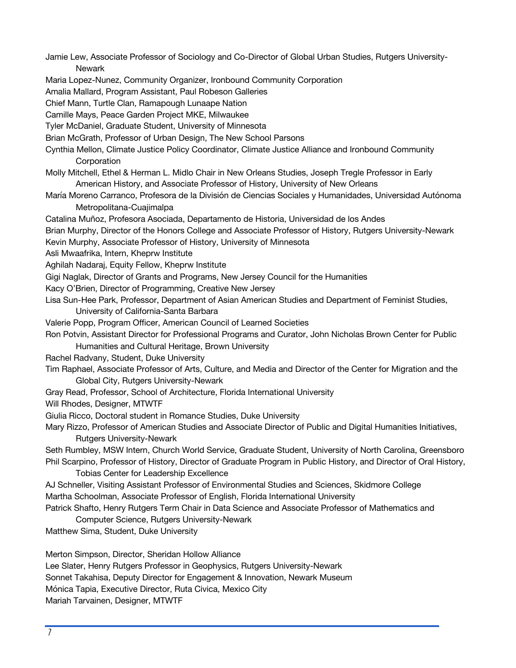Jamie Lew, Associate Professor of Sociology and Co-Director of Global Urban Studies, Rutgers University-**Newark** 

Maria Lopez-Nunez, Community Organizer, Ironbound Community Corporation

Amalia Mallard, Program Assistant, Paul Robeson Galleries

Chief Mann, Turtle Clan, Ramapough Lunaape Nation

Camille Mays, Peace Garden Project MKE, Milwaukee

Tyler McDaniel, Graduate Student, University of Minnesota

Brian McGrath, Professor of Urban Design, The New School Parsons

Cynthia Mellon, Climate Justice Policy Coordinator, Climate Justice Alliance and Ironbound Community **Corporation** 

Molly Mitchell, Ethel & Herman L. Midlo Chair in New Orleans Studies, Joseph Tregle Professor in Early American History, and Associate Professor of History, University of New Orleans

María Moreno Carranco, Profesora de la División de Ciencias Sociales y Humanidades, Universidad Autónoma Metropolitana-Cuajimalpa

Catalina Muñoz, Profesora Asociada, Departamento de Historia, Universidad de los Andes

- Brian Murphy, Director of the Honors College and Associate Professor of History, Rutgers University-Newark
- Kevin Murphy, Associate Professor of History, University of Minnesota
- Asli Mwaafrika, Intern, Kheprw Institute
- Aghilah Nadaraj, Equity Fellow, Kheprw Institute
- Gigi Naglak, Director of Grants and Programs, New Jersey Council for the Humanities
- Kacy O'Brien, Director of Programming, Creative New Jersey
- Lisa Sun-Hee Park, Professor, Department of Asian American Studies and Department of Feminist Studies, University of California-Santa Barbara
- Valerie Popp, Program Officer, American Council of Learned Societies

Ron Potvin, Assistant Director for Professional Programs and Curator, John Nicholas Brown Center for Public

Humanities and Cultural Heritage, Brown University

Rachel Radvany, Student, Duke University

Tim Raphael, Associate Professor of Arts, Culture, and Media and Director of the Center for Migration and the Global City, Rutgers University-Newark

Gray Read, Professor, School of Architecture, Florida International University

Will Rhodes, Designer, MTWTF

Giulia Ricco, Doctoral student in Romance Studies, Duke University

Mary Rizzo, Professor of American Studies and Associate Director of Public and Digital Humanities Initiatives, Rutgers University-Newark

Seth Rumbley, MSW Intern, Church World Service, Graduate Student, University of North Carolina, Greensboro Phil Scarpino, Professor of History, Director of Graduate Program in Public History, and Director of Oral History,

Tobias Center for Leadership Excellence

AJ Schneller, Visiting Assistant Professor of Environmental Studies and Sciences, Skidmore College Martha Schoolman, Associate Professor of English, Florida International University

Patrick Shafto, Henry Rutgers Term Chair in Data Science and Associate Professor of Mathematics and

Computer Science, Rutgers University-Newark

Matthew Sima, Student, Duke University

Merton Simpson, Director, Sheridan Hollow Alliance Lee Slater, Henry Rutgers Professor in Geophysics, Rutgers University-Newark Sonnet Takahisa, Deputy Director for Engagement & Innovation, Newark Museum Mónica Tapia, Executive Director, Ruta Civica, Mexico City Mariah Tarvainen, Designer, MTWTF